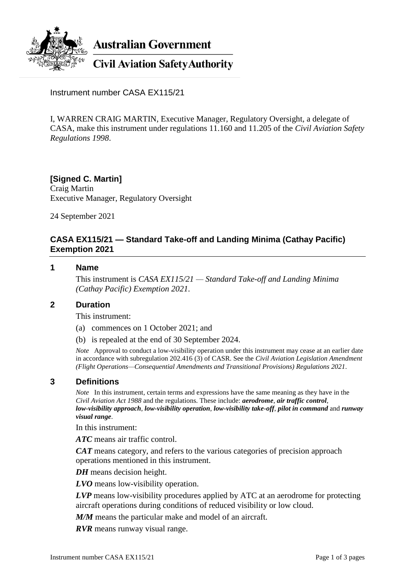

**Australian Government** 

**Civil Aviation Safety Authority** 

Instrument number CASA EX115/21

I, WARREN CRAIG MARTIN, Executive Manager, Regulatory Oversight, a delegate of CASA, make this instrument under regulations 11.160 and 11.205 of the *Civil Aviation Safety Regulations 1998*.

**[Signed C. Martin]** Craig Martin Executive Manager, Regulatory Oversight

24 September 2021

## **CASA EX115/21 — Standard Take-off and Landing Minima (Cathay Pacific) Exemption 2021**

#### **1 Name**

This instrument is *CASA EX115/21 — Standard Take-off and Landing Minima (Cathay Pacific) Exemption 2021*.

#### **2 Duration**

This instrument:

- (a) commences on 1 October 2021; and
- (b) is repealed at the end of 30 September 2024.

*Note* Approval to conduct a low-visibility operation under this instrument may cease at an earlier date in accordance with subregulation 202.416 (3) of CASR. See the *Civil Aviation Legislation Amendment (Flight Operations—Consequential Amendments and Transitional Provisions) Regulations 2021*.

#### **3 Definitions**

*Note* In this instrument, certain terms and expressions have the same meaning as they have in the *Civil Aviation Act 1988* and the regulations. These include: *aerodrome*, *air traffic control*, *low-visibility approach*, *low-visibility operation*, *low-visibility take-off*, *pilot in command* and *runway visual range*.

In this instrument:

*ATC* means air traffic control.

*CAT* means category, and refers to the various categories of precision approach operations mentioned in this instrument.

*DH* means decision height.

*LVO* means low-visibility operation.

*LVP* means low-visibility procedures applied by ATC at an aerodrome for protecting aircraft operations during conditions of reduced visibility or low cloud.

*M/M* means the particular make and model of an aircraft.

*RVR* means runway visual range.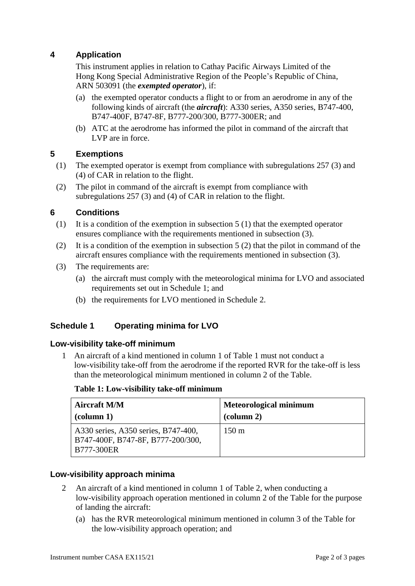# **4 Application**

This instrument applies in relation to Cathay Pacific Airways Limited of the Hong Kong Special Administrative Region of the People's Republic of China, ARN 503091 (the *exempted operator*), if:

- (a) the exempted operator conducts a flight to or from an aerodrome in any of the following kinds of aircraft (the *aircraft*): A330 series, A350 series, B747-400, B747-400F, B747-8F, B777-200/300, B777-300ER; and
- (b) ATC at the aerodrome has informed the pilot in command of the aircraft that LVP are in force.

## **5 Exemptions**

- (1) The exempted operator is exempt from compliance with subregulations 257 (3) and (4) of CAR in relation to the flight.
- (2) The pilot in command of the aircraft is exempt from compliance with subregulations 257 (3) and (4) of CAR in relation to the flight.

## **6 Conditions**

- (1) It is a condition of the exemption in subsection 5 (1) that the exempted operator ensures compliance with the requirements mentioned in subsection (3).
- (2) It is a condition of the exemption in subsection 5 (2) that the pilot in command of the aircraft ensures compliance with the requirements mentioned in subsection (3).
- (3) The requirements are:
	- (a) the aircraft must comply with the meteorological minima for LVO and associated requirements set out in Schedule 1; and
	- (b) the requirements for LVO mentioned in Schedule 2.

## **Schedule 1 Operating minima for LVO**

### **Low-visibility take-off minimum**

1 An aircraft of a kind mentioned in column 1 of Table 1 must not conduct a low-visibility take-off from the aerodrome if the reported RVR for the take-off is less than the meteorological minimum mentioned in column 2 of the Table.

#### **Table 1: Low-visibility take-off minimum**

| <b>Aircraft M/M</b>                                                                    | <b>Meteorological minimum</b> |
|----------------------------------------------------------------------------------------|-------------------------------|
| $\alpha$ (column 1)                                                                    | $\alpha$ (column 2)           |
| A330 series, A350 series, B747-400,<br>B747-400F, B747-8F, B777-200/300,<br>B777-300ER | $150 \text{ m}$               |

### **Low-visibility approach minima**

- 2 An aircraft of a kind mentioned in column 1 of Table 2, when conducting a low-visibility approach operation mentioned in column 2 of the Table for the purpose of landing the aircraft:
	- (a) has the RVR meteorological minimum mentioned in column 3 of the Table for the low-visibility approach operation; and